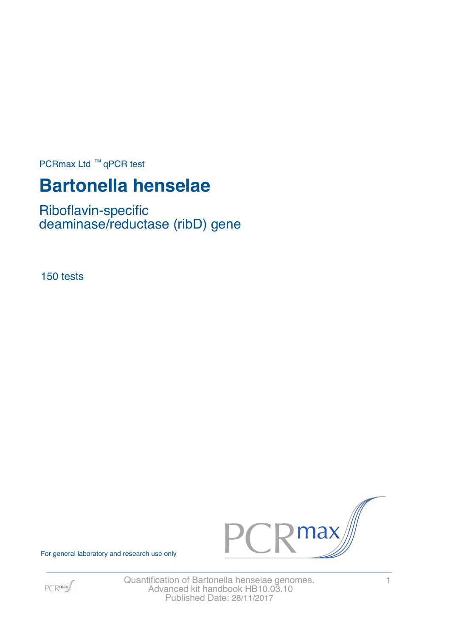PCRmax Ltd  $™$  qPCR test

# **Bartonella henselae**

Riboflavin-specific deaminase/reductase (ribD) gene

150 tests



For general laboratory and research use only



Quantification of Bartonella henselae genomes. 1 Advanced kit handbook HB10.03.10 Published Date: 28/11/2017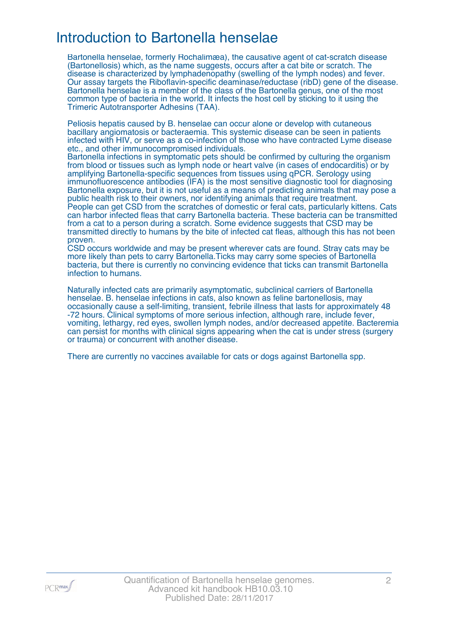### Introduction to Bartonella henselae

Bartonella henselae, formerly Rochalimæa), the causative agent of cat-scratch disease (Bartonellosis) which, as the name suggests, occurs after a cat bite or scratch. The disease is characterized by lymphadenopathy (swelling of the lymph nodes) and fever. Our assay targets the Riboflavin-specific deaminase/reductase (ribD) gene of the disease. Bartonella henselae is a member of the class of the Bartonella genus, one of the most common type of bacteria in the world. It infects the host cell by sticking to it using the Trimeric Autotransporter Adhesins (TAA).

Peliosis hepatis caused by B. henselae can occur alone or develop with cutaneous bacillary angiomatosis or bacteraemia. This systemic disease can be seen in patients infected with HIV, or serve as a co-infection of those who have contracted Lyme disease etc., and other immunocompromised individuals.

Bartonella infections in symptomatic pets should be confirmed by culturing the organism from blood or tissues such as lymph node or heart valve (in cases of endocarditis) or by amplifying Bartonella-specific sequences from tissues using qPCR. Serology using immunofluorescence antibodies (IFA) is the most sensitive diagnostic tool for diagnosing Bartonella exposure, but it is not useful as a means of predicting animals that may pose a public health risk to their owners, nor identifying animals that require treatment. People can get CSD from the scratches of domestic or feral cats, particularly kittens. Cats can harbor infected fleas that carry Bartonella bacteria. These bacteria can be transmitted from a cat to a person during a scratch. Some evidence suggests that CSD may be transmitted directly to humans by the bite of infected cat fleas, although this has not been proven.

CSD occurs worldwide and may be present wherever cats are found. Stray cats may be more likely than pets to carry Bartonella.Ticks may carry some species of Bartonella bacteria, but there is currently no convincing evidence that ticks can transmit Bartonella infection to humans.

Naturally infected cats are primarily asymptomatic, subclinical carriers of Bartonella henselae. B. henselae infections in cats, also known as feline bartonellosis, may occasionally cause a self-limiting, transient, febrile illness that lasts for approximately 48 -72 hours. Clinical symptoms of more serious infection, although rare, include fever, vomiting, lethargy, red eyes, swollen lymph nodes, and/or decreased appetite. Bacteremia can persist for months with clinical signs appearing when the cat is under stress (surgery or trauma) or concurrent with another disease.

There are currently no vaccines available for cats or dogs against Bartonella spp.

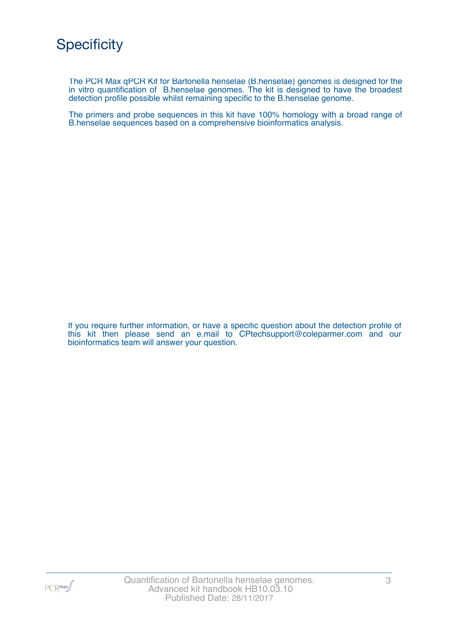The PCR Max qPCR Kit for Bartonella henselae (B.henselae) genomes is designed for the in vitro quantification of B.henselae genomes. The kit is designed to have the broadest detection profile possible whilst remaining specific to the B.henselae genome.

The primers and probe sequences in this kit have 100% homology with a broad range of B.henselae sequences based on a comprehensive bioinformatics analysis.

If you require further information, or have a specific question about the detection profile of this kit then please send an e.mail to CPtechsupport@coleparmer.com and our bioinformatics team will answer your question.

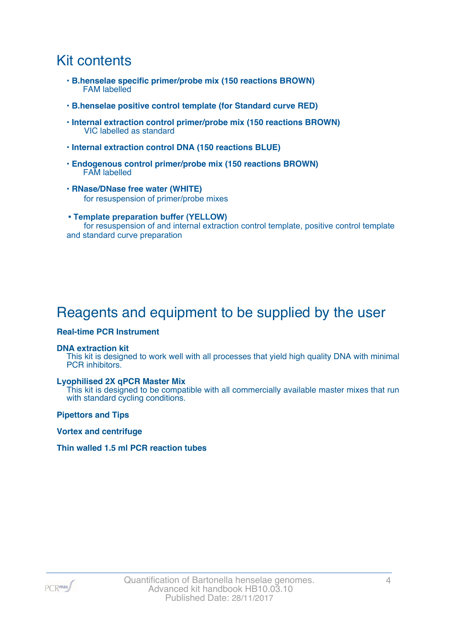### Kit contents

- **B.henselae specific primer/probe mix (150 reactions BROWN)** FAM labelled
- **B.henselae positive control template (for Standard curve RED)**
- **Internal extraction control primer/probe mix (150 reactions BROWN)** VIC labelled as standard
- **Internal extraction control DNA (150 reactions BLUE)**
- **Endogenous control primer/probe mix (150 reactions BROWN)** FAM labelled
- **RNase/DNase free water (WHITE)** for resuspension of primer/probe mixes
- **Template preparation buffer (YELLOW)** for resuspension of and internal extraction control template, positive control template and standard curve preparation

## Reagents and equipment to be supplied by the user

#### **Real-time PCR Instrument**

#### **DNA extraction kit**

This kit is designed to work well with all processes that yield high quality DNA with minimal PCR inhibitors.

#### **Lyophilised 2X qPCR Master Mix**

This kit is designed to be compatible with all commercially available master mixes that run with standard cycling conditions.

**Pipettors and Tips**

**Vortex and centrifuge**

#### **Thin walled 1.5 ml PCR reaction tubes**

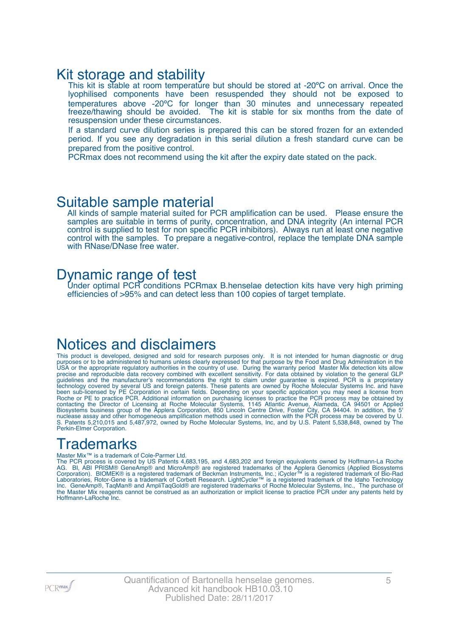### Kit storage and stability

This kit is stable at room temperature but should be stored at -20°C on arrival. Once the lyophilised components have been resuspended they should not be exposed to temperatures above -20ºC for longer than 30 minutes and unnecessary repeated freeze/thawing should be avoided. The kit is stable for six months from the date of resuspension under these circumstances.

If a standard curve dilution series is prepared this can be stored frozen for an extended period. If you see any degradation in this serial dilution a fresh standard curve can be prepared from the positive control.

PCRmax does not recommend using the kit after the expiry date stated on the pack.

### Suitable sample material

All kinds of sample material suited for PCR amplification can be used. Please ensure the samples are suitable in terms of purity, concentration, and DNA integrity (An internal PCR control is supplied to test for non specific PCR inhibitors). Always run at least one negative control with the samples. To prepare a negative-control, replace the template DNA sample with RNase/DNase free water.

### Dynamic range of test

Under optimal PCR conditions PCRmax B.henselae detection kits have very high priming efficiencies of >95% and can detect less than 100 copies of target template.

### Notices and disclaimers

This product is developed, designed and sold for research purposes only. It is not intended for human diagnostic or drug purposes or to be administered to humans unless clearly expressed for that purpose by the Food and Drug Administration in the USA or the appropriate regulatory authorities in the country of use. During the warranty period Master Mix detection kits allow precise and reproducible data recovery combined with excellent sensitivity. For data obtained by violation to the general GLP guidelines and the manufacturer's recommendations the right to claim under guarantee is expired. PCR is a proprietary technology covered by several US and foreign patents. These patents are owned by Roche Molecular Systems Inc. and have been sub-licensed by PE Corporation in certain fields. Depending on your specific application you may need a license from Roche or PE to practice PCR. Additional information on purchasing licenses to practice the PCR process may be obtained by contacting the Director of Licensing at Roche Molecular Systems, 1145 Atlantic Avenue, Alameda, CA 94501 or Applied Biosystems business group of the Applera Corporation, 850 Lincoln Centre Drive, Foster City, CA 94404. In addition, the 5' nuclease assay and other homogeneous amplification methods used in connection with the PCR process may be covered by U. S. Patents 5,210,015 and 5,487,972, owned by Roche Molecular Systems, Inc, and by U.S. Patent 5,538,848, owned by The Perkin-Elmer Corporation.

## **Trademarks**

#### Master Mix™ is a trademark of Cole-Parmer Ltd.

The PCR process is covered by US Patents 4,683,195, and 4,683,202 and foreign equivalents owned by Hoffmann-La Roche AG. BI, ABI PRISM® GeneAmp® and MicroAmp® are registered trademarks of the Applera Genomics (Applied Biosystems Corporation). BIOMEK® is a registered trademark of Beckman Instruments, Inc.; iCycler™ is a registered trademark of Bio-Rad Laboratories, Rotor-Gene is a trademark of Corbett Research. LightCycler™ is a registered trademark of the Idaho Technology Inc. GeneAmp®, TaqMan® and AmpliTaqGold® are registered trademarks of Roche Molecular Systems, Inc., The purchase of the Master Mix reagents cannot be construed as an authorization or implicit license to practice PCR under any patents held by Hoffmann-LaRoche Inc.

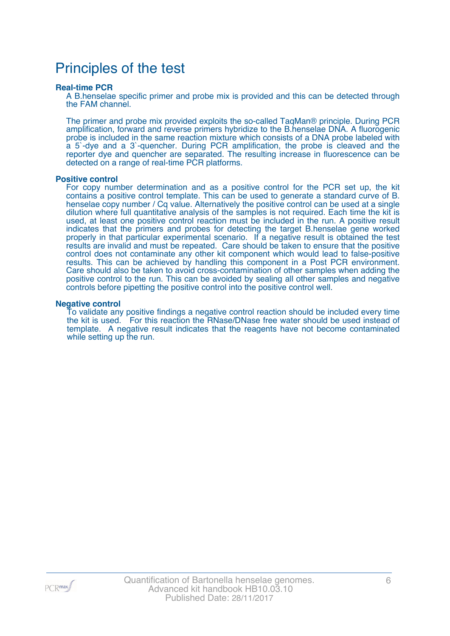### Principles of the test

#### **Real-time PCR**

A B.henselae specific primer and probe mix is provided and this can be detected through the FAM channel.

The primer and probe mix provided exploits the so-called TaqMan® principle. During PCR amplification, forward and reverse primers hybridize to the B.henselae DNA. A fluorogenic probe is included in the same reaction mixture which consists of a DNA probe labeled with a 5`-dye and a 3`-quencher. During PCR amplification, the probe is cleaved and the reporter dye and quencher are separated. The resulting increase in fluorescence can be detected on a range of real-time PCR platforms.

#### **Positive control**

For copy number determination and as a positive control for the PCR set up, the kit contains a positive control template. This can be used to generate a standard curve of B. henselae copy number / Cq value. Alternatively the positive control can be used at a single dilution where full quantitative analysis of the samples is not required. Each time the kit is used, at least one positive control reaction must be included in the run. A positive result indicates that the primers and probes for detecting the target B.henselae gene worked properly in that particular experimental scenario. If a negative result is obtained the test results are invalid and must be repeated. Care should be taken to ensure that the positive control does not contaminate any other kit component which would lead to false-positive results. This can be achieved by handling this component in a Post PCR environment. Care should also be taken to avoid cross-contamination of other samples when adding the positive control to the run. This can be avoided by sealing all other samples and negative controls before pipetting the positive control into the positive control well.

#### **Negative control**

To validate any positive findings a negative control reaction should be included every time the kit is used. For this reaction the RNase/DNase free water should be used instead of template. A negative result indicates that the reagents have not become contaminated while setting up the run.

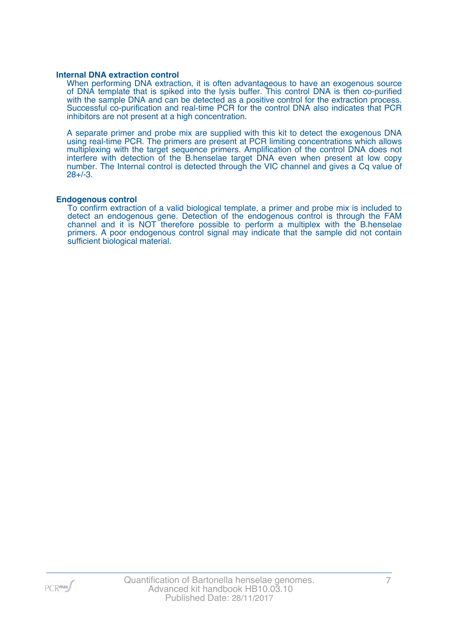#### **Internal DNA extraction control**

When performing DNA extraction, it is often advantageous to have an exogenous source of DNA template that is spiked into the lysis buffer. This control DNA is then co-purified with the sample DNA and can be detected as a positive control for the extraction process. Successful co-purification and real-time PCR for the control DNA also indicates that PCR inhibitors are not present at a high concentration.

A separate primer and probe mix are supplied with this kit to detect the exogenous DNA using real-time PCR. The primers are present at PCR limiting concentrations which allows multiplexing with the target sequence primers. Amplification of the control DNA does not interfere with detection of the B.henselae target DNA even when present at low copy number. The Internal control is detected through the VIC channel and gives a Cq value of 28+/-3.

#### **Endogenous control**

To confirm extraction of a valid biological template, a primer and probe mix is included to detect an endogenous gene. Detection of the endogenous control is through the FAM channel and it is NOT therefore possible to perform a multiplex with the B.henselae primers. A poor endogenous control signal may indicate that the sample did not contain sufficient biological material.

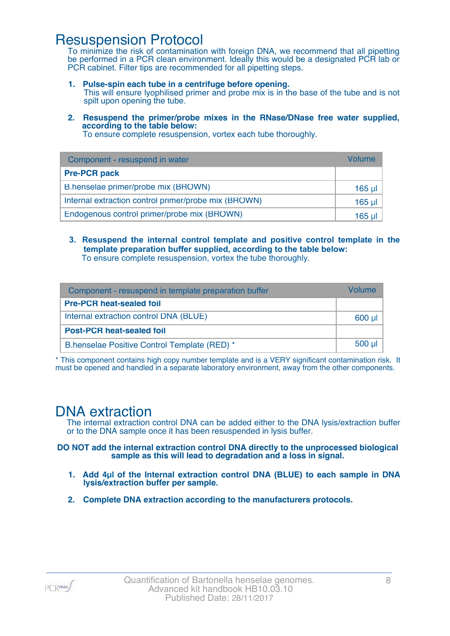### Resuspension Protocol

To minimize the risk of contamination with foreign DNA, we recommend that all pipetting be performed in a PCR clean environment. Ideally this would be a designated PCR lab or PCR cabinet. Filter tips are recommended for all pipetting steps.

- **1. Pulse-spin each tube in a centrifuge before opening.** This will ensure lyophilised primer and probe mix is in the base of the tube and is not spilt upon opening the tube.
- **2. Resuspend the primer/probe mixes in the RNase/DNase free water supplied, according to the table below:**

To ensure complete resuspension, vortex each tube thoroughly.

| Component - resuspend in water                       | Volume  |
|------------------------------------------------------|---------|
| <b>Pre-PCR pack</b>                                  |         |
| B.henselae primer/probe mix (BROWN)                  | 165 µl  |
| Internal extraction control primer/probe mix (BROWN) | $165$ µ |
| Endogenous control primer/probe mix (BROWN)          | 165 ul  |

**3. Resuspend the internal control template and positive control template in the template preparation buffer supplied, according to the table below:** To ensure complete resuspension, vortex the tube thoroughly.

| Component - resuspend in template preparation buffer |          |  |
|------------------------------------------------------|----------|--|
| <b>Pre-PCR heat-sealed foil</b>                      |          |  |
| Internal extraction control DNA (BLUE)               | 600 µl   |  |
| <b>Post-PCR heat-sealed foil</b>                     |          |  |
| B.henselae Positive Control Template (RED) *         | $500$ µl |  |

\* This component contains high copy number template and is a VERY significant contamination risk. It must be opened and handled in a separate laboratory environment, away from the other components.

### DNA extraction

The internal extraction control DNA can be added either to the DNA lysis/extraction buffer or to the DNA sample once it has been resuspended in lysis buffer.

**DO NOT add the internal extraction control DNA directly to the unprocessed biological sample as this will lead to degradation and a loss in signal.**

- **1. Add 4µl of the Internal extraction control DNA (BLUE) to each sample in DNA lysis/extraction buffer per sample.**
- **2. Complete DNA extraction according to the manufacturers protocols.**

PCR<sub>max</sub>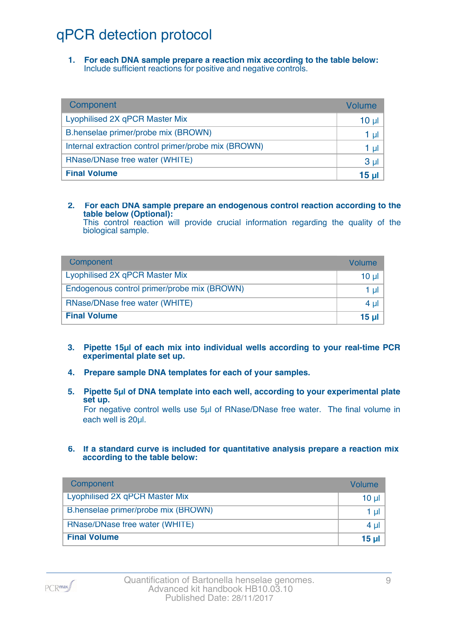## qPCR detection protocol

**1. For each DNA sample prepare a reaction mix according to the table below:** Include sufficient reactions for positive and negative controls.

| Component                                            | Volume          |
|------------------------------------------------------|-----------------|
| Lyophilised 2X qPCR Master Mix                       | 10 <sub>µ</sub> |
| B.henselae primer/probe mix (BROWN)                  | 1 µl            |
| Internal extraction control primer/probe mix (BROWN) | 1 µl            |
| RNase/DNase free water (WHITE)                       | 3 <sub>µ</sub>  |
| <b>Final Volume</b>                                  | 15 <sub>µ</sub> |

#### **2. For each DNA sample prepare an endogenous control reaction according to the table below (Optional):**

This control reaction will provide crucial information regarding the quality of the biological sample.

| Component                                   | Volume       |
|---------------------------------------------|--------------|
| Lyophilised 2X qPCR Master Mix              | 10 ul        |
| Endogenous control primer/probe mix (BROWN) | 1 ul         |
| RNase/DNase free water (WHITE)              | $4 \mu$      |
| <b>Final Volume</b>                         | <u>15 ul</u> |

- **3. Pipette 15µl of each mix into individual wells according to your real-time PCR experimental plate set up.**
- **4. Prepare sample DNA templates for each of your samples.**
- **5. Pipette 5µl of DNA template into each well, according to your experimental plate set up.**

For negative control wells use 5µl of RNase/DNase free water. The final volume in each well is 20ul.

**6. If a standard curve is included for quantitative analysis prepare a reaction mix according to the table below:**

| Component                           | Volume         |
|-------------------------------------|----------------|
| Lyophilised 2X qPCR Master Mix      | $10 \mu$       |
| B.henselae primer/probe mix (BROWN) | 1 $\mu$        |
| RNase/DNase free water (WHITE)      | 4 $\mu$        |
| <b>Final Volume</b>                 | $15$ µ $\vert$ |

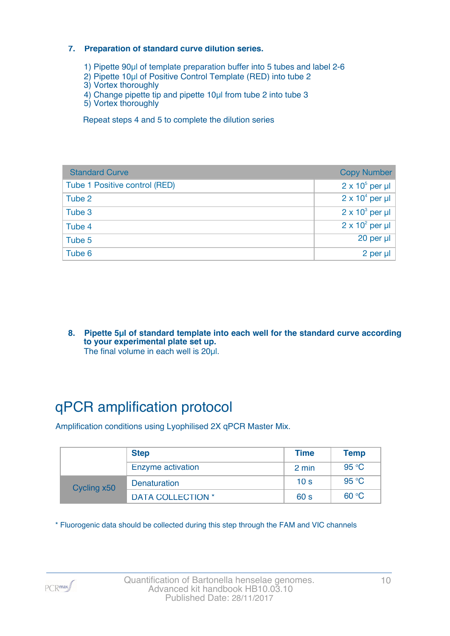#### **7. Preparation of standard curve dilution series.**

- 1) Pipette 90µl of template preparation buffer into 5 tubes and label 2-6
- 2) Pipette 10µl of Positive Control Template (RED) into tube 2
- 3) Vortex thoroughly
- 4) Change pipette tip and pipette 10µl from tube 2 into tube 3
- 5) Vortex thoroughly

Repeat steps 4 and 5 to complete the dilution series

| <b>Standard Curve</b>         | <b>Copy Number</b>     |
|-------------------------------|------------------------|
| Tube 1 Positive control (RED) | $2 \times 10^5$ per µl |
| Tube 2                        | $2 \times 10^4$ per µl |
| Tube 3                        | $2 \times 10^3$ per µl |
| Tube 4                        | $2 \times 10^2$ per µl |
| Tube 5                        | 20 per µl              |
| Tube 6                        | 2 per µl               |

**8. Pipette 5µl of standard template into each well for the standard curve according to your experimental plate set up.** The final volume in each well is 20µl.

## qPCR amplification protocol

Amplification conditions using Lyophilised 2X qPCR Master Mix.

|             | <b>Step</b>              | <b>Time</b>     | <b>Temp</b> |
|-------------|--------------------------|-----------------|-------------|
|             | Enzyme activation        | 2 min           | 95 °C       |
| Cycling x50 | <b>Denaturation</b>      | 10 <sub>s</sub> | 95 °C       |
|             | <b>DATA COLLECTION *</b> | 60 <sub>s</sub> | 60 °C       |

\* Fluorogenic data should be collected during this step through the FAM and VIC channels

PCR<sub>max</sub>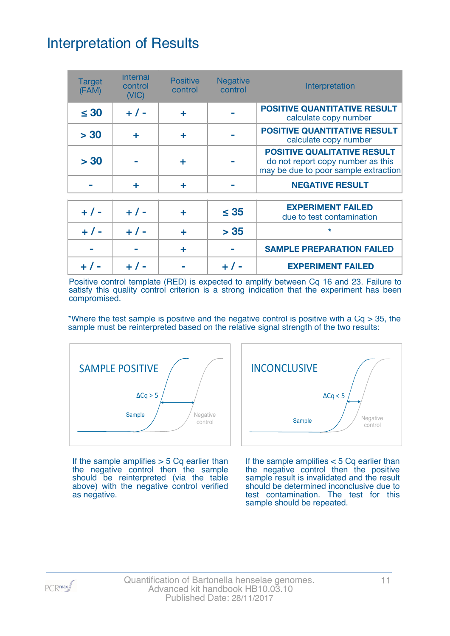## Interpretation of Results

| <b>Target</b><br>(FAM) | <b>Internal</b><br>control<br>(NIC) | <b>Positive</b><br>control | <b>Negative</b><br>control | Interpretation                                                                                                  |
|------------------------|-------------------------------------|----------------------------|----------------------------|-----------------------------------------------------------------------------------------------------------------|
| $\leq 30$              | $+ 1 -$                             | ٠                          |                            | <b>POSITIVE QUANTITATIVE RESULT</b><br>calculate copy number                                                    |
| > 30                   | ÷                                   | ٠                          |                            | <b>POSITIVE QUANTITATIVE RESULT</b><br>calculate copy number                                                    |
| > 30                   |                                     |                            |                            | <b>POSITIVE QUALITATIVE RESULT</b><br>do not report copy number as this<br>may be due to poor sample extraction |
|                        | ÷                                   | ٠                          |                            | <b>NEGATIVE RESULT</b>                                                                                          |
| $+ 1 -$                | $+ 1 -$                             | ÷                          | $\leq 35$                  | <b>EXPERIMENT FAILED</b><br>due to test contamination                                                           |
| $+ 1 -$                | $+ 1 -$                             | ÷                          | > 35                       | $\star$                                                                                                         |
|                        |                                     | ÷                          |                            | <b>SAMPLE PREPARATION FAILED</b>                                                                                |
|                        |                                     |                            |                            | <b>EXPERIMENT FAILED</b>                                                                                        |

Positive control template (RED) is expected to amplify between Cq 16 and 23. Failure to satisfy this quality control criterion is a strong indication that the experiment has been compromised.

\*Where the test sample is positive and the negative control is positive with a  $Cq > 35$ , the sample must be reinterpreted based on the relative signal strength of the two results:



If the sample amplifies  $> 5$  Cq earlier than the negative control then the sample should be reinterpreted (via the table above) with the negative control verified as negative.



If the sample amplifies < 5 Cq earlier than the negative control then the positive sample result is invalidated and the result should be determined inconclusive due to test contamination. The test for this sample should be repeated.